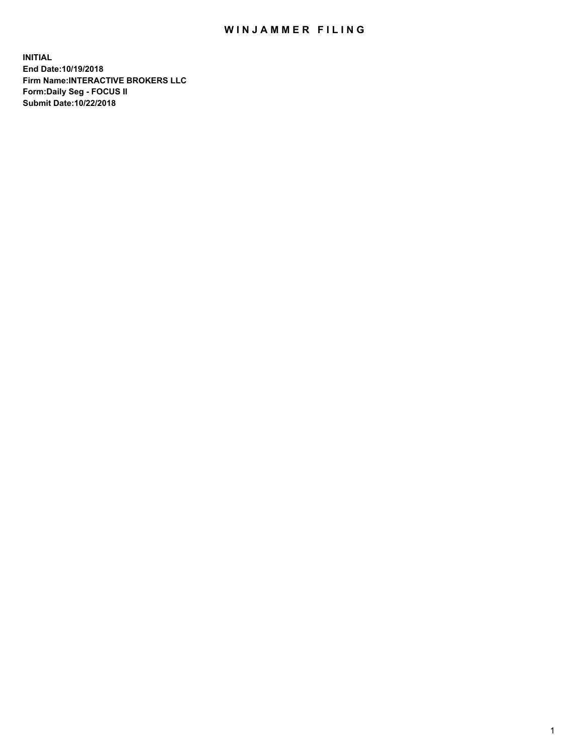## WIN JAMMER FILING

**INITIAL End Date:10/19/2018 Firm Name:INTERACTIVE BROKERS LLC Form:Daily Seg - FOCUS II Submit Date:10/22/2018**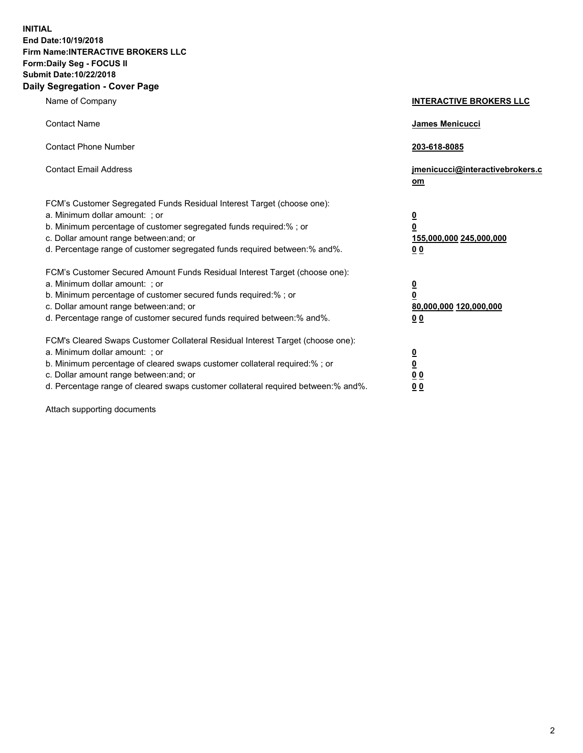**INITIAL End Date:10/19/2018 Firm Name:INTERACTIVE BROKERS LLC Form:Daily Seg - FOCUS II Submit Date:10/22/2018 Daily Segregation - Cover Page**

| Name of Company                                                                                                                                                                                                                                                                                                                | <b>INTERACTIVE BROKERS LLC</b>                                                                  |
|--------------------------------------------------------------------------------------------------------------------------------------------------------------------------------------------------------------------------------------------------------------------------------------------------------------------------------|-------------------------------------------------------------------------------------------------|
| <b>Contact Name</b>                                                                                                                                                                                                                                                                                                            | James Menicucci                                                                                 |
| <b>Contact Phone Number</b>                                                                                                                                                                                                                                                                                                    | 203-618-8085                                                                                    |
| <b>Contact Email Address</b>                                                                                                                                                                                                                                                                                                   | jmenicucci@interactivebrokers.c<br>om                                                           |
| FCM's Customer Segregated Funds Residual Interest Target (choose one):<br>a. Minimum dollar amount: ; or<br>b. Minimum percentage of customer segregated funds required:% ; or<br>c. Dollar amount range between: and; or<br>d. Percentage range of customer segregated funds required between:% and%.                         | $\overline{\mathbf{0}}$<br>$\overline{\mathbf{0}}$<br>155,000,000 245,000,000<br>0 <sub>0</sub> |
| FCM's Customer Secured Amount Funds Residual Interest Target (choose one):<br>a. Minimum dollar amount: ; or<br>b. Minimum percentage of customer secured funds required:%; or<br>c. Dollar amount range between: and; or<br>d. Percentage range of customer secured funds required between:% and%.                            | $\overline{\mathbf{0}}$<br>$\overline{\mathbf{0}}$<br>80,000,000 120,000,000<br>0 <sub>0</sub>  |
| FCM's Cleared Swaps Customer Collateral Residual Interest Target (choose one):<br>a. Minimum dollar amount: ; or<br>b. Minimum percentage of cleared swaps customer collateral required:% ; or<br>c. Dollar amount range between: and; or<br>d. Percentage range of cleared swaps customer collateral required between:% and%. | $\overline{\mathbf{0}}$<br>$\underline{\mathbf{0}}$<br>0 <sub>0</sub><br>0 <sub>0</sub>         |

Attach supporting documents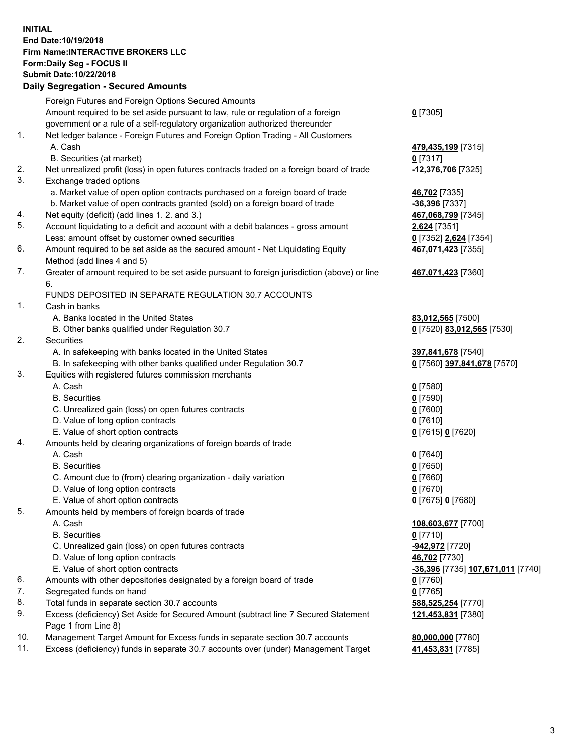## **INITIAL End Date:10/19/2018 Firm Name:INTERACTIVE BROKERS LLC Form:Daily Seg - FOCUS II Submit Date:10/22/2018 Daily Segregation - Secured Amounts**

|     | Daily Segregation - Secured Amounts                                                         |                                   |
|-----|---------------------------------------------------------------------------------------------|-----------------------------------|
|     | Foreign Futures and Foreign Options Secured Amounts                                         |                                   |
|     | Amount required to be set aside pursuant to law, rule or regulation of a foreign            | $0$ [7305]                        |
|     | government or a rule of a self-regulatory organization authorized thereunder                |                                   |
| 1.  | Net ledger balance - Foreign Futures and Foreign Option Trading - All Customers             |                                   |
|     | A. Cash                                                                                     | 479,435,199 [7315]                |
|     | B. Securities (at market)                                                                   | $0$ [7317]                        |
| 2.  | Net unrealized profit (loss) in open futures contracts traded on a foreign board of trade   | 12,376,706 [7325]                 |
| 3.  | Exchange traded options                                                                     |                                   |
|     | a. Market value of open option contracts purchased on a foreign board of trade              | 46,702 [7335]                     |
|     | b. Market value of open contracts granted (sold) on a foreign board of trade                | -36,396 [7337]                    |
| 4.  | Net equity (deficit) (add lines 1.2. and 3.)                                                | 467,068,799 [7345]                |
| 5.  | Account liquidating to a deficit and account with a debit balances - gross amount           | 2,624 [7351]                      |
|     | Less: amount offset by customer owned securities                                            | 0 [7352] 2,624 [7354]             |
| 6.  | Amount required to be set aside as the secured amount - Net Liquidating Equity              | 467,071,423 [7355]                |
|     | Method (add lines 4 and 5)                                                                  |                                   |
| 7.  | Greater of amount required to be set aside pursuant to foreign jurisdiction (above) or line | 467,071,423 [7360]                |
|     | 6.                                                                                          |                                   |
|     | FUNDS DEPOSITED IN SEPARATE REGULATION 30.7 ACCOUNTS                                        |                                   |
| 1.  | Cash in banks                                                                               |                                   |
|     | A. Banks located in the United States                                                       | 83,012,565 [7500]                 |
|     | B. Other banks qualified under Regulation 30.7                                              | 0 [7520] 83,012,565 [7530]        |
| 2.  | Securities                                                                                  |                                   |
|     | A. In safekeeping with banks located in the United States                                   | 397,841,678 [7540]                |
|     | B. In safekeeping with other banks qualified under Regulation 30.7                          | 0 [7560] 397,841,678 [7570]       |
| 3.  | Equities with registered futures commission merchants                                       |                                   |
|     | A. Cash                                                                                     | $0$ [7580]                        |
|     | <b>B.</b> Securities                                                                        | $0$ [7590]                        |
|     | C. Unrealized gain (loss) on open futures contracts                                         | $0$ [7600]                        |
|     | D. Value of long option contracts                                                           | $0$ [7610]                        |
|     | E. Value of short option contracts                                                          | 0 [7615] 0 [7620]                 |
| 4.  | Amounts held by clearing organizations of foreign boards of trade                           |                                   |
|     | A. Cash                                                                                     | $0$ [7640]                        |
|     | <b>B.</b> Securities                                                                        | $0$ [7650]                        |
|     | C. Amount due to (from) clearing organization - daily variation                             | $0$ [7660]                        |
|     | D. Value of long option contracts                                                           | $0$ [7670]                        |
|     | E. Value of short option contracts                                                          | 0 [7675] 0 [7680]                 |
| 5.  | Amounts held by members of foreign boards of trade                                          |                                   |
|     | A. Cash                                                                                     | 108,603,677 [7700]                |
|     | <b>B.</b> Securities                                                                        | $0$ [7710]                        |
|     | C. Unrealized gain (loss) on open futures contracts                                         | -942,972 [7720]                   |
|     | D. Value of long option contracts                                                           | 46,702 [7730]                     |
|     | E. Value of short option contracts                                                          | -36,396 [7735] 107,671,011 [7740] |
| 6.  | Amounts with other depositories designated by a foreign board of trade                      | 0 [7760]                          |
| 7.  | Segregated funds on hand                                                                    | $0$ [7765]                        |
| 8.  | Total funds in separate section 30.7 accounts                                               | 588,525,254 [7770]                |
| 9.  | Excess (deficiency) Set Aside for Secured Amount (subtract line 7 Secured Statement         | 121,453,831 [7380]                |
|     | Page 1 from Line 8)                                                                         |                                   |
| 10. | Management Target Amount for Excess funds in separate section 30.7 accounts                 | 80,000,000 [7780]                 |
| 11. | Excess (deficiency) funds in separate 30.7 accounts over (under) Management Target          | 41,453,831 [7785]                 |
|     |                                                                                             |                                   |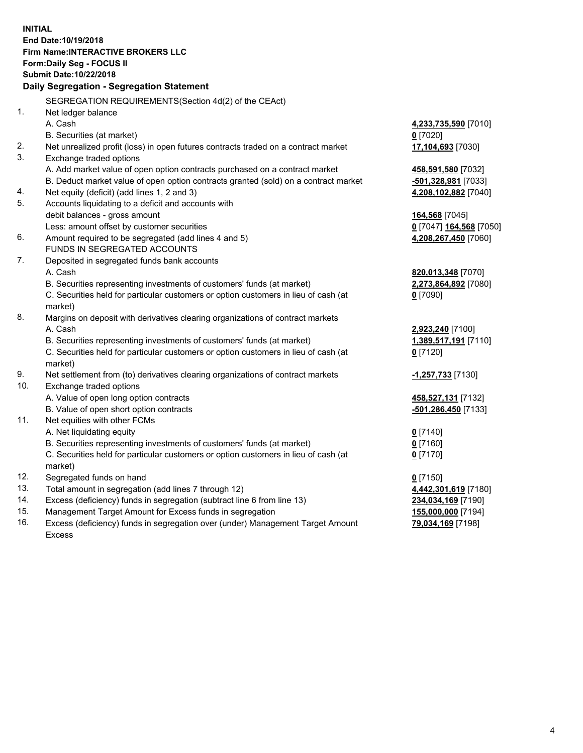**INITIAL End Date:10/19/2018 Firm Name:INTERACTIVE BROKERS LLC Form:Daily Seg - FOCUS II Submit Date:10/22/2018 Daily Segregation - Segregation Statement** SEGREGATION REQUIREMENTS(Section 4d(2) of the CEAct) 1. Net ledger balance A. Cash **4,233,735,590** [7010] B. Securities (at market) **0** [7020] 2. Net unrealized profit (loss) in open futures contracts traded on a contract market **17,104,693** [7030] 3. Exchange traded options A. Add market value of open option contracts purchased on a contract market **458,591,580** [7032] B. Deduct market value of open option contracts granted (sold) on a contract market **-501,328,981** [7033] 4. Net equity (deficit) (add lines 1, 2 and 3) **4,208,102,882** [7040] 5. Accounts liquidating to a deficit and accounts with debit balances - gross amount **164,568** [7045] Less: amount offset by customer securities **0** [7047] **164,568** [7050] 6. Amount required to be segregated (add lines 4 and 5) **4,208,267,450** [7060] FUNDS IN SEGREGATED ACCOUNTS 7. Deposited in segregated funds bank accounts A. Cash **820,013,348** [7070] B. Securities representing investments of customers' funds (at market) **2,273,864,892** [7080] C. Securities held for particular customers or option customers in lieu of cash (at market) **0** [7090] 8. Margins on deposit with derivatives clearing organizations of contract markets A. Cash **2,923,240** [7100] B. Securities representing investments of customers' funds (at market) **1,389,517,191** [7110] C. Securities held for particular customers or option customers in lieu of cash (at market) **0** [7120] 9. Net settlement from (to) derivatives clearing organizations of contract markets **-1,257,733** [7130] 10. Exchange traded options A. Value of open long option contracts **458,527,131** [7132] B. Value of open short option contracts **-501,286,450** [7133] 11. Net equities with other FCMs A. Net liquidating equity **0** [7140] B. Securities representing investments of customers' funds (at market) **0** [7160] C. Securities held for particular customers or option customers in lieu of cash (at market) **0** [7170] 12. Segregated funds on hand **0** [7150] 13. Total amount in segregation (add lines 7 through 12) **4,442,301,619** [7180] 14. Excess (deficiency) funds in segregation (subtract line 6 from line 13) **234,034,169** [7190] 15. Management Target Amount for Excess funds in segregation **155,000,000** [7194] 16. Excess (deficiency) funds in segregation over (under) Management Target Amount **79,034,169** [7198]

Excess